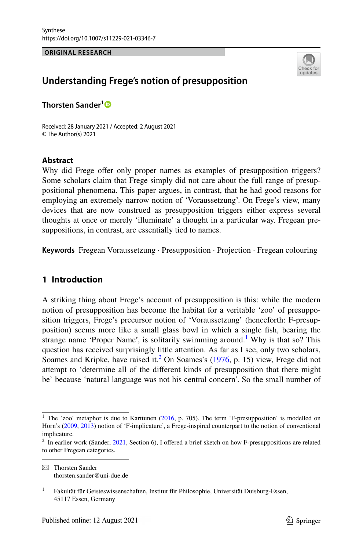**ORIGINAL RESEARCH**



# **Understanding Frege's notion of presupposition**

**Thorsten Sander[1](http://orcid.org/0000-0002-0880-8843)**

Received: 28 January 2021 / Accepted: 2 August 2021 © The Author(s) 2021

## **Abstract**

Why did Frege offer only proper names as examples of presupposition triggers? Some scholars claim that Frege simply did not care about the full range of presuppositional phenomena. This paper argues, in contrast, that he had good reasons for employing an extremely narrow notion of 'Voraussetzung'. On Frege's view, many devices that are now construed as presupposition triggers either express several thoughts at once or merely 'illuminate' a thought in a particular way. Fregean presuppositions, in contrast, are essentially tied to names.

**Keywords** Fregean Voraussetzung · Presupposition · Projection · Fregean colouring

# **1 Introduction**

A striking thing about Frege's account of presupposition is this: while the modern notion of presupposition has become the habitat for a veritable 'zoo' of presupposition triggers, Frege's precursor notion of 'Voraussetzung' (henceforth: F-presupposition) seems more like a small glass bowl in which a single fsh, bearing the strange name 'Proper Name', is solitarily swimming around.<sup>[1](#page-0-0)</sup> Why is that so? This question has received surprisingly little attention. As far as I see, only two scholars, Soames and Kripke, have raised it.<sup>[2](#page-0-1)</sup> On Soames's ([1976,](#page-21-0) p. 15) view, Frege did not attempt to 'determine all of the diferent kinds of presupposition that there might be' because 'natural language was not his central concern'. So the small number of

<span id="page-0-0"></span><sup>&</sup>lt;sup>1</sup> The 'zoo' metaphor is due to Karttunen  $(2016, p. 705)$  $(2016, p. 705)$ . The term 'F-presupposition' is modelled on Horn's ([2009,](#page-20-1) [2013\)](#page-20-2) notion of 'F-implicature', a Frege-inspired counterpart to the notion of conventional implicature.

<span id="page-0-1"></span><sup>&</sup>lt;sup>2</sup> In earlier work (Sander, [2021,](#page-20-3) Section 6), I offered a brief sketch on how F-presuppositions are related to other Fregean categories.

 $\boxtimes$  Thorsten Sander thorsten.sander@uni-due.de

<sup>&</sup>lt;sup>1</sup> Fakultät für Geisteswissenschaften, Institut für Philosophie, Universität Duisburg-Essen, 45117 Essen, Germany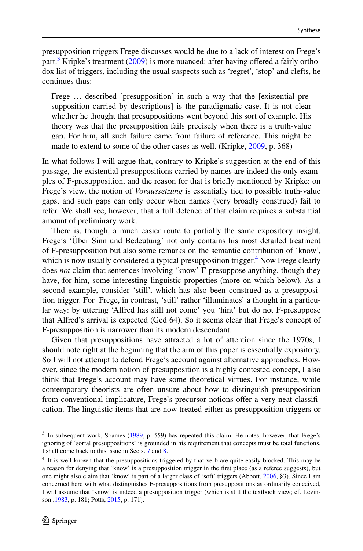presupposition triggers Frege discusses would be due to a lack of interest on Frege's part.<sup>3</sup> Kripke's treatment ([2009\)](#page-20-4) is more nuanced: after having offered a fairly orthodox list of triggers, including the usual suspects such as 'regret', 'stop' and clefts, he continues thus:

Frege … described [presupposition] in such a way that the [existential presupposition carried by descriptions] is the paradigmatic case. It is not clear whether he thought that presuppositions went beyond this sort of example. His theory was that the presupposition fails precisely when there is a truth-value gap. For him, all such failure came from failure of reference. This might be made to extend to some of the other cases as well. (Kripke, [2009,](#page-20-4) p. 368)

In what follows I will argue that, contrary to Kripke's suggestion at the end of this passage, the existential presuppositions carried by names are indeed the only examples of F-presupposition, and the reason for that is briefy mentioned by Kripke: on Frege's view, the notion of *Voraussetzung* is essentially tied to possible truth-value gaps, and such gaps can only occur when names (very broadly construed) fail to refer. We shall see, however, that a full defence of that claim requires a substantial amount of preliminary work.

There is, though, a much easier route to partially the same expository insight. Frege's 'Über Sinn und Bedeutung' not only contains his most detailed treatment of F-presupposition but also some remarks on the semantic contribution of 'know', which is now usually considered a typical presupposition trigger.<sup>4</sup> Now Frege clearly does *not* claim that sentences involving 'know' F-presuppose anything, though they have, for him, some interesting linguistic properties (more on which below). As a second example, consider 'still', which has also been construed as a presupposition trigger. For Frege, in contrast, 'still' rather 'illuminates' a thought in a particular way: by uttering 'Alfred has still not come' you 'hint' but do not F-presuppose that Alfred's arrival is expected (Ged 64). So it seems clear that Frege's concept of F-presupposition is narrower than its modern descendant.

Given that presuppositions have attracted a lot of attention since the 1970s, I should note right at the beginning that the aim of this paper is essentially expository. So I will not attempt to defend Frege's account against alternative approaches. However, since the modern notion of presupposition is a highly contested concept, I also think that Frege's account may have some theoretical virtues. For instance, while contemporary theorists are often unsure about how to distinguish presupposition from conventional implicature, Frege's precursor notions offer a very neat classification. The linguistic items that are now treated either as presupposition triggers or

<span id="page-1-0"></span><sup>&</sup>lt;sup>3</sup> In subsequent work, Soames [\(1989](#page-21-1), p. 559) has repeated this claim. He notes, however, that Frege's ignoring of 'sortal presuppositions' is grounded in his requirement that concepts must be total functions. I shall come back to this issue in Sects. [7](#page-13-0) and [8.](#page-14-0)

<span id="page-1-1"></span><sup>4</sup> It is well known that the presuppositions triggered by that verb are quite easily blocked. This may be a reason for denying that 'know' is a presupposition trigger in the frst place (as a referee suggests), but one might also claim that 'know' is part of a larger class of 'soft' triggers (Abbott, [2006,](#page-19-0) §3). Since I am concerned here with what distinguishes F-presuppositions from presuppositions as ordinarily conceived, I will assume that 'know' is indeed a presupposition trigger (which is still the textbook view; cf. Levinson [,1983](#page-20-5), p. 181; Potts, [2015](#page-20-6), p. 171).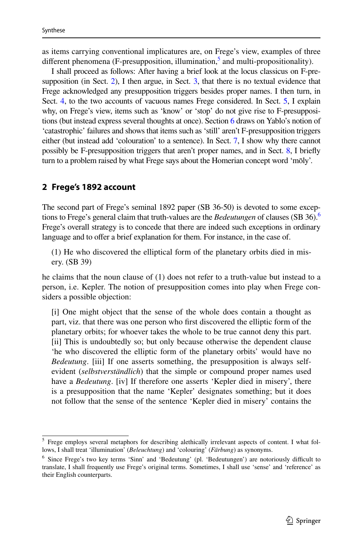as items carrying conventional implicatures are, on Frege's view, examples of three different phenomena (F-presupposition, illumination,<sup>5</sup> and multi-propositionality).

I shall proceed as follows: After having a brief look at the locus classicus on F-presupposition (in Sect. [2](#page-2-1)), I then argue, in Sect. [3](#page-5-0), that there is no textual evidence that Frege acknowledged any presupposition triggers besides proper names. I then turn, in Sect. [4,](#page-7-0) to the two accounts of vacuous names Frege considered. In Sect. [5](#page-8-0), I explain why, on Frege's view, items such as 'know' or 'stop' do not give rise to F-presuppositions (but instead express several thoughts at once). Section [6](#page-11-0) draws on Yablo's notion of 'catastrophic' failures and shows that items such as 'still' aren't F-presupposition triggers either (but instead add 'colouration' to a sentence). In Sect. [7,](#page-13-0) I show why there cannot possibly be F-presupposition triggers that aren't proper names, and in Sect. [8](#page-14-0), I briefy turn to a problem raised by what Frege says about the Homerian concept word 'mōly'.

## <span id="page-2-1"></span>**2 Frege's 1892 account**

The second part of Frege's seminal 1892 paper (SB 36-50) is devoted to some exceptions to Frege's general claim that truth-values are the *Bedeutungen* of clauses (SB 36)[.6](#page-2-2) Frege's overall strategy is to concede that there are indeed such exceptions in ordinary language and to offer a brief explanation for them. For instance, in the case of.

(1) He who discovered the elliptical form of the planetary orbits died in misery. (SB 39)

he claims that the noun clause of (1) does not refer to a truth-value but instead to a person, i.e. Kepler. The notion of presupposition comes into play when Frege considers a possible objection:

[i] One might object that the sense of the whole does contain a thought as part, viz. that there was one person who frst discovered the elliptic form of the planetary orbits; for whoever takes the whole to be true cannot deny this part. [ii] This is undoubtedly so; but only because otherwise the dependent clause 'he who discovered the elliptic form of the planetary orbits' would have no *Bedeutung*. [iii] If one asserts something, the presupposition is always selfevident (*selbstverständlich*) that the simple or compound proper names used have a *Bedeutung*. [iv] If therefore one asserts 'Kepler died in misery', there is a presupposition that the name 'Kepler' designates something; but it does not follow that the sense of the sentence 'Kepler died in misery' contains the

<span id="page-2-0"></span><sup>5</sup> Frege employs several metaphors for describing alethically irrelevant aspects of content. I what follows, I shall treat 'illumination' (*Beleuchtung*) and 'colouring' (*Färbung*) as synonyms.

<span id="page-2-2"></span> $6$  Since Frege's two key terms 'Sinn' and 'Bedeutung' (pl. 'Bedeutungen') are notoriously difficult to translate, I shall frequently use Frege's original terms. Sometimes, I shall use 'sense' and 'reference' as their English counterparts.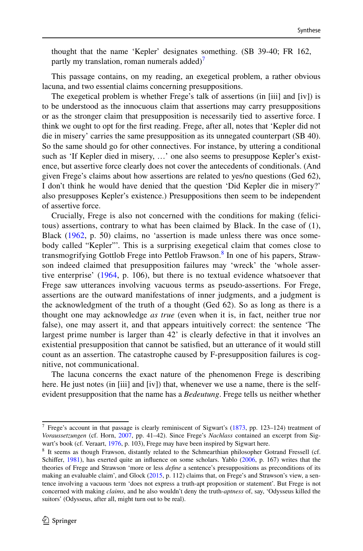thought that the name 'Kepler' designates something. (SB 39-40; FR 162, partly my translation, roman numerals added) $\gamma$ 

This passage contains, on my reading, an exegetical problem, a rather obvious lacuna, and two essential claims concerning presuppositions.

The exegetical problem is whether Frege's talk of assertions (in [iii] and [iv]) is to be understood as the innocuous claim that assertions may carry presuppositions or as the stronger claim that presupposition is necessarily tied to assertive force. I think we ought to opt for the frst reading. Frege, after all, notes that 'Kepler did not die in misery' carries the same presupposition as its unnegated counterpart (SB 40). So the same should go for other connectives. For instance, by uttering a conditional such as 'If Kepler died in misery, …' one also seems to presuppose Kepler's existence, but assertive force clearly does not cover the antecedents of conditionals. (And given Frege's claims about how assertions are related to yes/no questions (Ged 62), I don't think he would have denied that the question 'Did Kepler die in misery?' also presupposes Kepler's existence.) Presuppositions then seem to be independent of assertive force.

Crucially, Frege is also not concerned with the conditions for making (felicitous) assertions, contrary to what has been claimed by Black. In the case of (1), Black ([1962](#page-19-1), p. 50) claims, no 'assertion is made unless there was once somebody called "Kepler"'. This is a surprising exegetical claim that comes close to transmogrifying Gottlob Frege into Pettlob Frawson.<sup>[8](#page-3-1)</sup> In one of his papers, Strawson indeed claimed that presupposition failures may 'wreck' the 'whole assertive enterprise' [\(1964,](#page-21-2) p. 106), but there is no textual evidence whatsoever that Frege saw utterances involving vacuous terms as pseudo-assertions. For Frege, assertions are the outward manifestations of inner judgments, and a judgment is the acknowledgment of the truth of a thought (Ged 62). So as long as there is a thought one may acknowledge *as true* (even when it is, in fact, neither true nor false), one may assert it, and that appears intuitively correct: the sentence 'The largest prime number is larger than 42' is clearly defective in that it involves an existential presupposition that cannot be satisfed, but an utterance of it would still count as an assertion. The catastrophe caused by F-presupposition failures is cognitive, not communicational.

The lacuna concerns the exact nature of the phenomenon Frege is describing here. He just notes (in [iii] and [iv]) that, whenever we use a name, there is the selfevident presupposition that the name has a *Bedeutung*. Frege tells us neither whether

<span id="page-3-0"></span> $7$  Frege's account in that passage is clearly reminiscent of Sigwart's [\(1873](#page-20-9), pp. 123-124) treatment of *Voraussetzungen* (cf. Horn, [2007](#page-20-10), pp. 41–42). Since Frege's *Nachlass* contained an excerpt from Sigwart's book (cf. Veraart, [1976,](#page-21-4) p. 103), Frege may have been inspired by Sigwart here.

<span id="page-3-1"></span><sup>8</sup> It seems as though Frawson, distantly related to the Schmearthian philosopher Gotrand Fressell (cf. Schifer, [1981\)](#page-20-7), has exerted quite an infuence on some scholars. Yablo [\(2006](#page-21-3), p. 167) writes that the theories of Frege and Strawson 'more or less *defne* a sentence's presuppositions as preconditions of its making an evaluable claim', and Glock ([2015,](#page-20-8) p. 112) claims that, on Frege's and Strawson's view, a sentence involving a vacuous term 'does not express a truth-apt proposition or statement'. But Frege is not concerned with making *claims*, and he also wouldn't deny the truth-*aptness* of, say, 'Odysseus killed the suitors' (Odysseus, after all, might turn out to be real).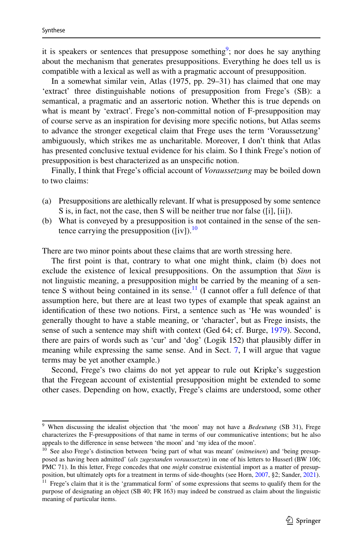it is speakers or sentences that presuppose something<sup>9</sup>; nor does he say anything about the mechanism that generates presuppositions. Everything he does tell us is compatible with a lexical as well as with a pragmatic account of presupposition.

In a somewhat similar vein, Atlas (1975, pp. 29–31) has claimed that one may 'extract' three distinguishable notions of presupposition from Frege's (SB): a semantical, a pragmatic and an assertoric notion. Whether this is true depends on what is meant by 'extract'. Frege's non-committal notion of F-presupposition may of course serve as an inspiration for devising more specifc notions, but Atlas seems to advance the stronger exegetical claim that Frege uses the term 'Voraussetzung' ambiguously, which strikes me as uncharitable. Moreover, I don't think that Atlas has presented conclusive textual evidence for his claim. So I think Frege's notion of presupposition is best characterized as an unspecifc notion.

Finally, I think that Frege's official account of *Voraussetzung* may be boiled down to two claims:

- (a) Presuppositions are alethically relevant. If what is presupposed by some sentence S is, in fact, not the case, then S will be neither true nor false ([i], [ii]).
- (b) What is conveyed by a presupposition is not contained in the sense of the sen-tence carrying the presupposition ([iv]).<sup>[10](#page-4-1)</sup>

There are two minor points about these claims that are worth stressing here.

The frst point is that, contrary to what one might think, claim (b) does not exclude the existence of lexical presuppositions. On the assumption that *Sinn* is not linguistic meaning, a presupposition might be carried by the meaning of a sentence S without being contained in its sense.<sup>11</sup> (I cannot offer a full defence of that assumption here, but there are at least two types of example that speak against an identifcation of these two notions. First, a sentence such as 'He was wounded' is generally thought to have a stable meaning, or 'character', but as Frege insists, the sense of such a sentence may shift with context (Ged 64; cf. Burge, [1979\)](#page-19-2). Second, there are pairs of words such as 'cur' and 'dog' (Logik 152) that plausibly difer in meaning while expressing the same sense. And in Sect. [7,](#page-13-0) I will argue that vague terms may be yet another example.)

Second, Frege's two claims do not yet appear to rule out Kripke's suggestion that the Fregean account of existential presupposition might be extended to some other cases. Depending on how, exactly, Frege's claims are understood, some other

<span id="page-4-0"></span><sup>9</sup> When discussing the idealist objection that 'the moon' may not have a *Bedeutung* (SB 31), Frege characterizes the F-presuppositions of that name in terms of our communicative intentions; but he also appeals to the diference in sense between 'the moon' and 'my idea of the moon'.

<span id="page-4-1"></span><sup>10</sup> See also Frege's distinction between 'being part of what was meant' (*mitmeinen*) and 'being presupposed as having been admitted' (*als zugestanden voraussetzen*) in one of his letters to Husserl (BW 106; PMC 71). In this letter, Frege concedes that one *might* construe existential import as a matter of presupposition, but ultimately opts for a treatment in terms of side-thoughts (see Horn, [2007,](#page-20-10) §2; Sander, [2021](#page-20-3)).

<span id="page-4-2"></span> $11$  Frege's claim that it is the 'grammatical form' of some expressions that seems to qualify them for the purpose of designating an object (SB 40; FR 163) may indeed be construed as claim about the linguistic meaning of particular items.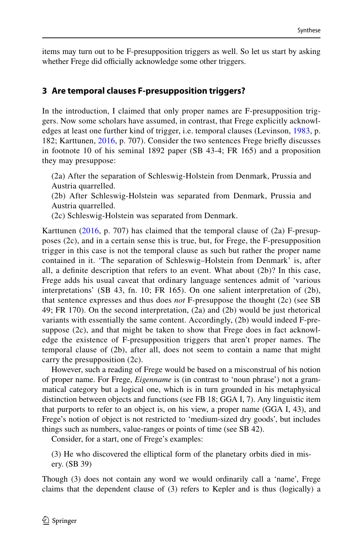items may turn out to be F-presupposition triggers as well. So let us start by asking whether Frege did officially acknowledge some other triggers.

## <span id="page-5-0"></span>**3 Are temporal clauses F‑presupposition triggers?**

In the introduction, I claimed that only proper names are F-presupposition triggers. Now some scholars have assumed, in contrast, that Frege explicitly acknowledges at least one further kind of trigger, i.e. temporal clauses (Levinson, [1983,](#page-20-5) p. 182; Karttunen, [2016](#page-20-0), p. 707). Consider the two sentences Frege briefy discusses in footnote 10 of his seminal 1892 paper (SB 43-4; FR 165) and a proposition they may presuppose:

(2a) After the separation of Schleswig-Holstein from Denmark, Prussia and Austria quarrelled.

(2b) After Schleswig-Holstein was separated from Denmark, Prussia and Austria quarrelled.

(2c) Schleswig-Holstein was separated from Denmark.

Karttunen [\(2016,](#page-20-0) p. 707) has claimed that the temporal clause of (2a) F-presupposes (2c), and in a certain sense this is true, but, for Frege, the F-presupposition trigger in this case is not the temporal clause as such but rather the proper name contained in it. 'The separation of Schleswig–Holstein from Denmark' is, after all, a defnite description that refers to an event. What about (2b)? In this case, Frege adds his usual caveat that ordinary language sentences admit of 'various interpretations' (SB 43, fn. 10; FR 165). On one salient interpretation of (2b), that sentence expresses and thus does *not* F-presuppose the thought (2c) (see SB 49; FR 170). On the second interpretation, (2a) and (2b) would be just rhetorical variants with essentially the same content. Accordingly, (2b) would indeed F-presuppose (2c), and that might be taken to show that Frege does in fact acknowledge the existence of F-presupposition triggers that aren't proper names. The temporal clause of (2b), after all, does not seem to contain a name that might carry the presupposition (2c).

However, such a reading of Frege would be based on a misconstrual of his notion of proper name. For Frege, *Eigenname* is (in contrast to 'noun phrase') not a grammatical category but a logical one, which is in turn grounded in his metaphysical distinction between objects and functions (see FB 18; GGA I, 7). Any linguistic item that purports to refer to an object is, on his view, a proper name (GGA I, 43), and Frege's notion of object is not restricted to 'medium-sized dry goods', but includes things such as numbers, value-ranges or points of time (see SB 42).

Consider, for a start, one of Frege's examples:

(3) He who discovered the elliptical form of the planetary orbits died in misery. (SB 39)

Though (3) does not contain any word we would ordinarily call a 'name', Frege claims that the dependent clause of (3) refers to Kepler and is thus (logically) a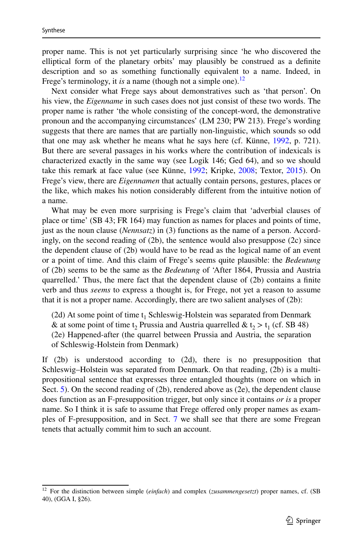proper name. This is not yet particularly surprising since 'he who discovered the elliptical form of the planetary orbits' may plausibly be construed as a defnite description and so as something functionally equivalent to a name. Indeed, in Frege's terminology, it *is* a name (though not a simple one).<sup>[12](#page-6-0)</sup>

Next consider what Frege says about demonstratives such as 'that person'. On his view, the *Eigenname* in such cases does not just consist of these two words. The proper name is rather 'the whole consisting of the concept-word, the demonstrative pronoun and the accompanying circumstances' (LM 230; PW 213). Frege's wording suggests that there are names that are partially non-linguistic, which sounds so odd that one may ask whether he means what he says here (cf. Künne, [1992](#page-20-11), p. 721). But there are several passages in his works where the contribution of indexicals is characterized exactly in the same way (see Logik 146; Ged 64), and so we should take this remark at face value (see Künne, [1992;](#page-20-11) Kripke, [2008;](#page-20-12) Textor, [2015\)](#page-21-5). On Frege's view, there are *Eigennamen* that actually contain persons, gestures, places or the like, which makes his notion considerably diferent from the intuitive notion of a name.

What may be even more surprising is Frege's claim that 'adverbial clauses of place or time' (SB 43; FR 164) may function as names for places and points of time, just as the noun clause (*Nennsatz*) in (3) functions as the name of a person. Accordingly, on the second reading of (2b), the sentence would also presuppose (2c) since the dependent clause of (2b) would have to be read as the logical name of an event or a point of time. And this claim of Frege's seems quite plausible: the *Bedeutung* of (2b) seems to be the same as the *Bedeutung* of 'After 1864, Prussia and Austria quarrelled.' Thus, the mere fact that the dependent clause of (2b) contains a fnite verb and thus *seems* to express a thought is, for Frege, not yet a reason to assume that it is not a proper name. Accordingly, there are two salient analyses of (2b):

(2d) At some point of time  $t_1$  Schleswig-Holstein was separated from Denmark & at some point of time t<sub>2</sub> Prussia and Austria quarrelled & t<sub>2</sub> > t<sub>1</sub> (cf. SB 48) (2e) Happened-after (the quarrel between Prussia and Austria, the separation of Schleswig-Holstein from Denmark)

If (2b) is understood according to (2d), there is no presupposition that Schleswig–Holstein was separated from Denmark. On that reading, (2b) is a multipropositional sentence that expresses three entangled thoughts (more on which in Sect. [5](#page-8-0)). On the second reading of  $(2b)$ , rendered above as  $(2e)$ , the dependent clause does function as an F-presupposition trigger, but only since it contains *or is* a proper name. So I think it is safe to assume that Frege offered only proper names as examples of F-presupposition, and in Sect. [7](#page-13-0) we shall see that there are some Fregean tenets that actually commit him to such an account.

<span id="page-6-0"></span><sup>12</sup> For the distinction between simple (*einfach*) and complex (*zusammengesetzt*) proper names, cf. (SB 40), (GGA I, §26).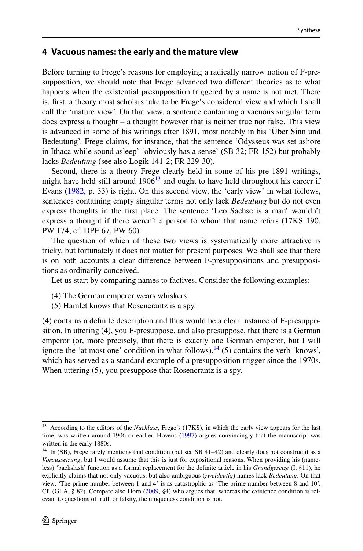#### <span id="page-7-0"></span>**4 Vacuous names: the early and the mature view**

Before turning to Frege's reasons for employing a radically narrow notion of F-presupposition, we should note that Frege advanced two diferent theories as to what happens when the existential presupposition triggered by a name is not met. There is, frst, a theory most scholars take to be Frege's considered view and which I shall call the 'mature view'. On that view, a sentence containing a vacuous singular term does express a thought – a thought however that is neither true nor false. This view is advanced in some of his writings after 1891, most notably in his 'Über Sinn und Bedeutung'. Frege claims, for instance, that the sentence 'Odysseus was set ashore in Ithaca while sound asleep' 'obviously has a sense' (SB 32; FR 152) but probably lacks *Bedeutung* (see also Logik 141-2; FR 229-30).

Second, there is a theory Frege clearly held in some of his pre-1891 writings, might have held still around  $1906<sup>13</sup>$  and ought to have held throughout his career if Evans ([1982,](#page-19-3) p. 33) is right. On this second view, the 'early view' in what follows, sentences containing empty singular terms not only lack *Bedeutung* but do not even express thoughts in the frst place. The sentence 'Leo Sachse is a man' wouldn't express a thought if there weren't a person to whom that name refers (17KS 190, PW 174; cf. DPE 67, PW 60).

The question of which of these two views is systematically more attractive is tricky, but fortunately it does not matter for present purposes. We shall see that there is on both accounts a clear diference between F-presuppositions and presuppositions as ordinarily conceived.

Let us start by comparing names to factives. Consider the following examples:

- (4) The German emperor wears whiskers.
- (5) Hamlet knows that Rosencrantz is a spy.

(4) contains a defnite description and thus would be a clear instance of F-presupposition. In uttering (4), you F-presuppose, and also presuppose, that there is a German emperor (or, more precisely, that there is exactly one German emperor, but I will ignore the 'at most one' condition in what follows).<sup>14</sup> (5) contains the verb 'knows', which has served as a standard example of a presupposition trigger since the 1970s. When uttering  $(5)$ , you presuppose that Rosencrantz is a spy.

<span id="page-7-1"></span><sup>&</sup>lt;sup>13</sup> According to the editors of the *Nachlass*, Frege's (17KS), in which the early view appears for the last time, was written around 1906 or earlier. Hovens ([1997\)](#page-20-13) argues convincingly that the manuscript was written in the early 1880s.

<span id="page-7-2"></span><sup>&</sup>lt;sup>14</sup> In (SB), Frege rarely mentions that condition (but see SB 41–42) and clearly does not construe it as a *Voraussetzung*, but I would assume that this is just for expositional reasons. When providing his (nameless) 'backslash' function as a formal replacement for the defnite article in his *Grundgesetze* (I, §11), he explicitly claims that not only vacuous, but also ambiguous (*zweideutig*) names lack *Bedeutung*. On that view, 'The prime number between 1 and 4' is as catastrophic as 'The prime number between 8 and 10'. Cf. (GLA, § 82). Compare also Horn [\(2009](#page-20-1), §4) who argues that, whereas the existence condition is relevant to questions of truth or falsity, the uniqueness condition is not.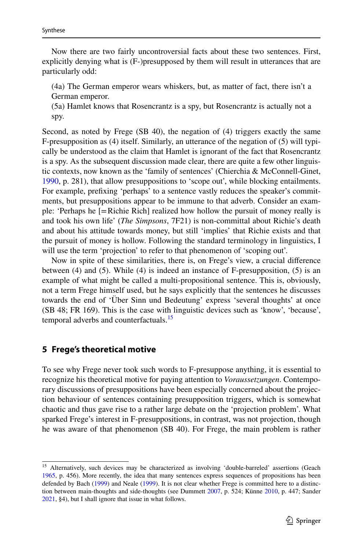Now there are two fairly uncontroversial facts about these two sentences. First, explicitly denying what is (F-)presupposed by them will result in utterances that are particularly odd:

(4a) The German emperor wears whiskers, but, as matter of fact, there isn't a German emperor.

(5a) Hamlet knows that Rosencrantz is a spy, but Rosencrantz is actually not a spy.

Second, as noted by Frege (SB 40), the negation of (4) triggers exactly the same F-presupposition as (4) itself. Similarly, an utterance of the negation of (5) will typically be understood as the claim that Hamlet is ignorant of the fact that Rosencrantz is a spy. As the subsequent discussion made clear, there are quite a few other linguistic contexts, now known as the 'family of sentences' (Chierchia & McConnell-Ginet, [1990](#page-19-4), p. 281), that allow presuppositions to 'scope out', while blocking entailments. For example, prefixing 'perhaps' to a sentence vastly reduces the speaker's commitments, but presuppositions appear to be immune to that adverb. Consider an example: 'Perhaps he [=Richie Rich] realized how hollow the pursuit of money really is and took his own life' (*The Simpsons*, 7F21) is non-committal about Richie's death and about his attitude towards money, but still 'implies' that Richie exists and that the pursuit of money is hollow. Following the standard terminology in linguistics, I will use the term 'projection' to refer to that phenomenon of 'scoping out'.

Now in spite of these similarities, there is, on Frege's view, a crucial diference between (4) and (5). While (4) is indeed an instance of F-presupposition, (5) is an example of what might be called a multi-propositional sentence. This is, obviously, not a term Frege himself used, but he says explicitly that the sentences he discusses towards the end of 'Über Sinn und Bedeutung' express 'several thoughts' at once (SB 48; FR 169). This is the case with linguistic devices such as 'know', 'because', temporal adverbs and counterfactuals.<sup>[15](#page-8-1)</sup>

#### <span id="page-8-0"></span>**5 Frege's theoretical motive**

To see why Frege never took such words to F-presuppose anything, it is essential to recognize his theoretical motive for paying attention to *Voraussetzungen*. Contemporary discussions of presuppositions have been especially concerned about the projection behaviour of sentences containing presupposition triggers, which is somewhat chaotic and thus gave rise to a rather large debate on the 'projection problem'. What sparked Frege's interest in F-presuppositions, in contrast, was not projection, though he was aware of that phenomenon (SB 40). For Frege, the main problem is rather

<span id="page-8-1"></span><sup>&</sup>lt;sup>15</sup> Alternatively, such devices may be characterized as involving 'double-barreled' assertions (Geach [1965](#page-20-14), p. 456). More recently, the idea that many sentences express sequences of propositions has been defended by Bach ([1999\)](#page-19-5) and Neale ([1999\)](#page-20-15). It is not clear whether Frege is committed here to a distinc-tion between main-thoughts and side-thoughts (see Dummett [2007](#page-19-6), p. 524; Künne [2010,](#page-20-16) p. 447; Sander [2021](#page-20-3), §4), but I shall ignore that issue in what follows.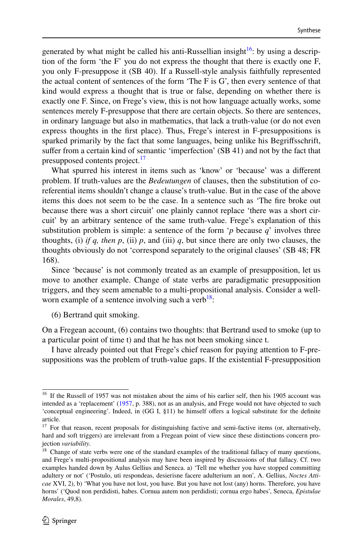generated by what might be called his anti-Russellian insight<sup>16</sup>: by using a description of the form 'the F' you do not express the thought that there is exactly one F, you only F-presuppose it (SB 40). If a Russell-style analysis faithfully represented the actual content of sentences of the form 'The F is G', then every sentence of that kind would express a thought that is true or false, depending on whether there is exactly one F. Since, on Frege's view, this is not how language actually works, some sentences merely F-presuppose that there are certain objects. So there are sentences, in ordinary language but also in mathematics, that lack a truth-value (or do not even express thoughts in the frst place). Thus, Frege's interest in F-presuppositions is sparked primarily by the fact that some languages, being unlike his Begrifsschrift, sufer from a certain kind of semantic 'imperfection' (SB 41) and not by the fact that presupposed contents project.<sup>[17](#page-9-1)</sup>

What spurred his interest in items such as 'know' or 'because' was a diferent problem. If truth-values are the *Bedeutungen* of clauses, then the substitution of coreferential items shouldn't change a clause's truth-value. But in the case of the above items this does not seem to be the case. In a sentence such as 'The fre broke out because there was a short circuit' one plainly cannot replace 'there was a short circuit' by an arbitrary sentence of the same truth-value. Frege's explanation of this substitution problem is simple: a sentence of the form '*p* because *q*' involves three thoughts, (i) *if q, then p,* (ii)  $p$ , and (iii)  $q$ , but since there are only two clauses, the thoughts obviously do not 'correspond separately to the original clauses' (SB 48; FR 168).

Since 'because' is not commonly treated as an example of presupposition, let us move to another example. Change of state verbs are paradigmatic presupposition triggers, and they seem amenable to a multi-propositional analysis. Consider a wellworn example of a sentence involving such a verb<sup>18</sup>:

(6) Bertrand quit smoking.

On a Fregean account, (6) contains two thoughts: that Bertrand used to smoke (up to a particular point of time t) and that he has not been smoking since t.

I have already pointed out that Frege's chief reason for paying attention to F-presuppositions was the problem of truth-value gaps. If the existential F-presupposition

<span id="page-9-0"></span><sup>&</sup>lt;sup>16</sup> If the Russell of 1957 was not mistaken about the aims of his earlier self, then his 1905 account was intended as a 'replacement' [\(1957](#page-20-17), p. 388), not as an analysis, and Frege would not have objected to such 'conceptual engineering'. Indeed, in (GG I, §11) he himself ofers a logical substitute for the defnite article.

<span id="page-9-1"></span><sup>&</sup>lt;sup>17</sup> For that reason, recent proposals for distinguishing factive and semi-factive items (or, alternatively, hard and soft triggers) are irrelevant from a Fregean point of view since these distinctions concern projection *variability*.

<span id="page-9-2"></span><sup>&</sup>lt;sup>18</sup> Change of state verbs were one of the standard examples of the traditional fallacy of many questions, and Frege's multi-propositional analysis may have been inspired by discussions of that fallacy. Cf. two examples handed down by Aulus Gellius and Seneca. a) 'Tell me whether you have stopped committing adultery or not' ('Postulo, uti respondeas, desierisne facere adulterium an non', A. Gellius, *Noctes Atticae* XVI, 2), b) 'What you have not lost, you have. But you have not lost (any) horns. Therefore, you have horns' ('Quod non perdidisti, habes. Cornua autem non perdidisti; cornua ergo habes', Seneca, *Epistulae Morales*, 49,8).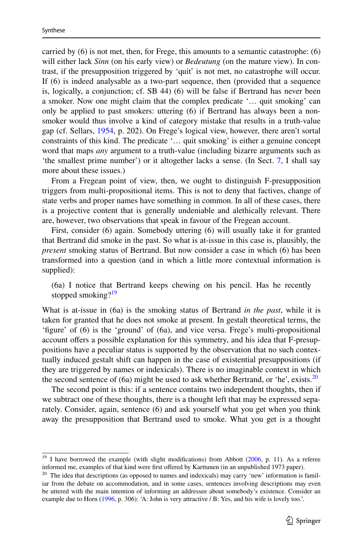carried by (6) is not met, then, for Frege, this amounts to a semantic catastrophe: (6) will either lack *Sinn* (on his early view) or *Bedeutung* (on the mature view). In contrast, if the presupposition triggered by 'quit' is not met, no catastrophe will occur. If (6) is indeed analysable as a two-part sequence, then (provided that a sequence is, logically, a conjunction; cf. SB 44) (6) will be false if Bertrand has never been a smoker. Now one might claim that the complex predicate '… quit smoking' can only be applied to past smokers: uttering (6) if Bertrand has always been a nonsmoker would thus involve a kind of category mistake that results in a truth-value gap (cf. Sellars, [1954](#page-20-18), p. 202). On Frege's logical view, however, there aren't sortal constraints of this kind. The predicate '… quit smoking' is either a genuine concept word that maps *any* argument to a truth-value (including bizarre arguments such as 'the smallest prime number') or it altogether lacks a sense. (In Sect. [7](#page-13-0), I shall say more about these issues.)

From a Fregean point of view, then, we ought to distinguish F-presupposition triggers from multi-propositional items. This is not to deny that factives, change of state verbs and proper names have something in common. In all of these cases, there is a projective content that is generally undeniable and alethically relevant. There are, however, two observations that speak in favour of the Fregean account.

First, consider (6) again. Somebody uttering (6) will usually take it for granted that Bertrand did smoke in the past. So what is at-issue in this case is, plausibly, the *present* smoking status of Bertrand. But now consider a case in which (6) has been transformed into a question (and in which a little more contextual information is supplied):

(6a) I notice that Bertrand keeps chewing on his pencil. Has he recently stopped smoking? $19$ 

What is at-issue in (6a) is the smoking status of Bertrand *in the past*, while it is taken for granted that he does not smoke at present. In gestalt theoretical terms, the 'fgure' of (6) is the 'ground' of (6a), and vice versa. Frege's multi-propositional account ofers a possible explanation for this symmetry, and his idea that F-presuppositions have a peculiar status is supported by the observation that no such contextually induced gestalt shift can happen in the case of existential presuppositions (if they are triggered by names or indexicals). There is no imaginable context in which the second sentence of  $(6a)$  might be used to ask whether Bertrand, or 'he', exists.<sup>[20](#page-10-1)</sup>

The second point is this: if a sentence contains two independent thoughts, then if we subtract one of these thoughts, there is a thought left that may be expressed separately. Consider, again, sentence (6) and ask yourself what you get when you think away the presupposition that Bertrand used to smoke. What you get is a thought

<span id="page-10-0"></span> $19$  I have borrowed the example (with slight modifications) from Abbott [\(2006](#page-19-0), p. 11). As a referee informed me, examples of that kind were first offered by Karttunen (in an unpublished 1973 paper).

<span id="page-10-1"></span> $20$  The idea that descriptions (as opposed to names and indexicals) may carry 'new' information is familiar from the debate on accommodation, and in some cases, sentences involving descriptions may even be uttered with the main intention of informing an addressee about somebody's existence. Consider an example due to Horn ([1996,](#page-20-19) p. 306): 'A: John is very attractive / B: Yes, and his wife is lovely too.'.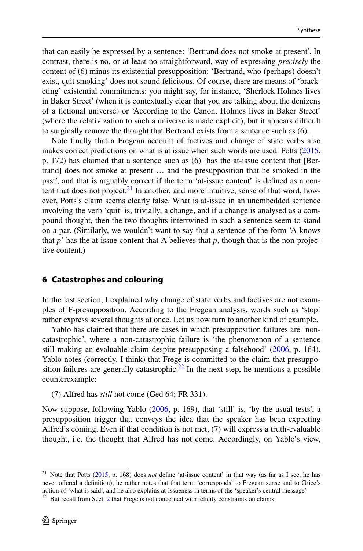that can easily be expressed by a sentence: 'Bertrand does not smoke at present'. In contrast, there is no, or at least no straightforward, way of expressing *precisely* the content of (6) minus its existential presupposition: 'Bertrand, who (perhaps) doesn't exist, quit smoking' does not sound felicitous. Of course, there are means of 'bracketing' existential commitments: you might say, for instance, 'Sherlock Holmes lives in Baker Street' (when it is contextually clear that you are talking about the denizens of a fctional universe) or 'According to the Canon, Holmes lives in Baker Street' (where the relativization to such a universe is made explicit), but it appears difficult to surgically remove the thought that Bertrand exists from a sentence such as (6).

Note fnally that a Fregean account of factives and change of state verbs also makes correct predictions on what is at issue when such words are used. Potts ([2015,](#page-20-6) p. 172) has claimed that a sentence such as (6) 'has the at-issue content that [Bertrand] does not smoke at present … and the presupposition that he smoked in the past', and that is arguably correct if the term 'at-issue content' is defned as a content that does not project. $21$  In another, and more intuitive, sense of that word, however, Potts's claim seems clearly false. What is at-issue in an unembedded sentence involving the verb 'quit' is, trivially, a change, and if a change is analysed as a compound thought, then the two thoughts intertwined in such a sentence seem to stand on a par. (Similarly, we wouldn't want to say that a sentence of the form 'A knows that  $p'$  has the at-issue content that A believes that  $p$ , though that is the non-projective content.)

#### <span id="page-11-0"></span>**6 Catastrophes and colouring**

In the last section, I explained why change of state verbs and factives are not examples of F-presupposition. According to the Fregean analysis, words such as 'stop' rather express several thoughts at once. Let us now turn to another kind of example.

Yablo has claimed that there are cases in which presupposition failures are 'noncatastrophic', where a non-catastrophic failure is 'the phenomenon of a sentence still making an evaluable claim despite presupposing a falsehood' [\(2006](#page-21-3), p. 164). Yablo notes (correctly, I think) that Frege is committed to the claim that presupposition failures are generally catastrophic.<sup>22</sup> In the next step, he mentions a possible counterexample:

(7) Alfred has *still* not come (Ged 64; FR 331).

Now suppose, following Yablo ([2006,](#page-21-3) p. 169), that 'still' is, 'by the usual tests', a presupposition trigger that conveys the idea that the speaker has been expecting Alfred's coming. Even if that condition is not met, (7) will express a truth-evaluable thought, i.e. the thought that Alfred has not come. Accordingly, on Yablo's view,

<span id="page-11-1"></span><sup>21</sup> Note that Potts [\(2015](#page-20-6), p. 168) does *not* defne 'at-issue content' in that way (as far as I see, he has never ofered a defnition); he rather notes that that term 'corresponds' to Fregean sense and to Grice's notion of 'what is said', and he also explains at-issueness in terms of the 'speaker's central message'.

<span id="page-11-2"></span> $22$  But recall from Sect. [2](#page-2-1) that Frege is not concerned with felicity constraints on claims.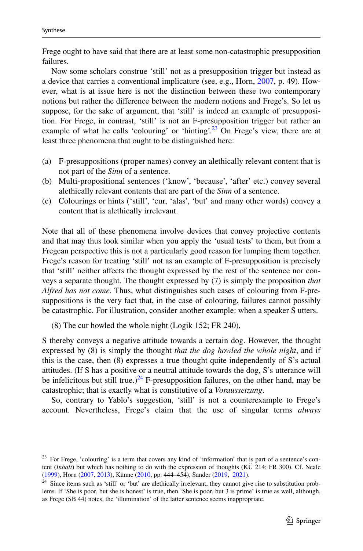Frege ought to have said that there are at least some non-catastrophic presupposition failures.

Now some scholars construe 'still' not as a presupposition trigger but instead as a device that carries a conventional implicature (see, e.g., Horn, [2007,](#page-20-10) p. 49). However, what is at issue here is not the distinction between these two contemporary notions but rather the diference between the modern notions and Frege's. So let us suppose, for the sake of argument, that 'still' is indeed an example of presupposition. For Frege, in contrast, 'still' is not an F-presupposition trigger but rather an example of what he calls 'colouring' or 'hinting'.<sup>23</sup> On Frege's view, there are at least three phenomena that ought to be distinguished here:

- (a) F-presuppositions (proper names) convey an alethically relevant content that is not part of the *Sinn* of a sentence.
- (b) Multi-propositional sentences ('know', 'because', 'after' etc.) convey several alethically relevant contents that are part of the *Sinn* of a sentence.
- (c) Colourings or hints ('still', 'cur, 'alas', 'but' and many other words) convey a content that is alethically irrelevant.

Note that all of these phenomena involve devices that convey projective contents and that may thus look similar when you apply the 'usual tests' to them, but from a Fregean perspective this is not a particularly good reason for lumping them together. Frege's reason for treating 'still' not as an example of F-presupposition is precisely that 'still' neither affects the thought expressed by the rest of the sentence nor conveys a separate thought. The thought expressed by (7) is simply the proposition *that Alfred has not come*. Thus, what distinguishes such cases of colouring from F-presuppositions is the very fact that, in the case of colouring, failures cannot possibly be catastrophic. For illustration, consider another example: when a speaker S utters.

(8) The cur howled the whole night (Logik 152; FR 240),

S thereby conveys a negative attitude towards a certain dog. However, the thought expressed by (8) is simply the thought *that the dog howled the whole night*, and if this is the case, then (8) expresses a true thought quite independently of S's actual attitudes. (If S has a positive or a neutral attitude towards the dog, S's utterance will be infelicitous but still true.)<sup>24</sup> F-presupposition failures, on the other hand, may be catastrophic; that is exactly what is constitutive of a *Voraussetzung*.

So, contrary to Yablo's suggestion, 'still' is not a counterexample to Frege's account. Nevertheless, Frege's claim that the use of singular terms *always*

<span id="page-12-0"></span><sup>&</sup>lt;sup>23</sup> For Frege, 'colouring' is a term that covers any kind of 'information' that is part of a sentence's content (*Inhalt*) but which has nothing to do with the expression of thoughts (KÜ 214; FR 300). Cf. Neale ([1999\)](#page-20-15), Horn ([2007,](#page-20-10) [2013\)](#page-20-2), Künne [\(2010](#page-20-16), pp. 444–454), Sander ([2019,](#page-20-20) [2021\)](#page-20-3).

<span id="page-12-1"></span><sup>&</sup>lt;sup>24</sup> Since items such as 'still' or 'but' are alethically irrelevant, they cannot give rise to substitution problems. If 'She is poor, but she is honest' is true, then 'She is poor, but 3 is prime' is true as well, although, as Frege (SB 44) notes, the 'illumination' of the latter sentence seems inappropriate.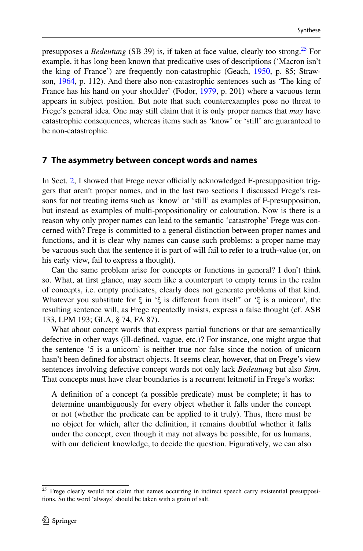presupposes a *Bedeutung* (SB 39) is, if taken at face value, clearly too strong.[25](#page-13-1) For example, it has long been known that predicative uses of descriptions ('Macron isn't the king of France') are frequently non-catastrophic (Geach, [1950](#page-20-21), p. 85; Strawson, [1964,](#page-21-2) p. 112). And there also non-catastrophic sentences such as 'The king of France has his hand on your shoulder' (Fodor, [1979,](#page-20-22) p. 201) where a vacuous term appears in subject position. But note that such counterexamples pose no threat to Frege's general idea. One may still claim that it is only proper names that *may* have catastrophic consequences, whereas items such as 'know' or 'still' are guaranteed to be non-catastrophic.

#### <span id="page-13-0"></span>**7 The asymmetry between concept words and names**

In Sect. [2,](#page-2-1) I showed that Frege never officially acknowledged F-presupposition triggers that aren't proper names, and in the last two sections I discussed Frege's reasons for not treating items such as 'know' or 'still' as examples of F-presupposition, but instead as examples of multi-propositionality or colouration. Now is there is a reason why only proper names can lead to the semantic 'catastrophe' Frege was concerned with? Frege is committed to a general distinction between proper names and functions, and it is clear why names can cause such problems: a proper name may be vacuous such that the sentence it is part of will fail to refer to a truth-value (or, on his early view, fail to express a thought).

Can the same problem arise for concepts or functions in general? I don't think so. What, at frst glance, may seem like a counterpart to empty terms in the realm of concepts, i.e. empty predicates, clearly does not generate problems of that kind. Whatever you substitute for ξ in 'ξ is diferent from itself' or 'ξ is a unicorn', the resulting sentence will, as Frege repeatedly insists, express a false thought (cf. ASB 133, LPM 193; GLA, § 74, FA 87).

What about concept words that express partial functions or that are semantically defective in other ways (ill-defned, vague, etc.)? For instance, one might argue that the sentence '5 is a unicorn' is neither true nor false since the notion of unicorn hasn't been defned for abstract objects. It seems clear, however, that on Frege's view sentences involving defective concept words not only lack *Bedeutung* but also *Sinn*. That concepts must have clear boundaries is a recurrent leitmotif in Frege's works:

A defnition of a concept (a possible predicate) must be complete; it has to determine unambiguously for every object whether it falls under the concept or not (whether the predicate can be applied to it truly). Thus, there must be no object for which, after the defnition, it remains doubtful whether it falls under the concept, even though it may not always be possible, for us humans, with our deficient knowledge, to decide the question. Figuratively, we can also

<span id="page-13-1"></span><sup>&</sup>lt;sup>25</sup> Frege clearly would not claim that names occurring in indirect speech carry existential presuppositions. So the word 'always' should be taken with a grain of salt.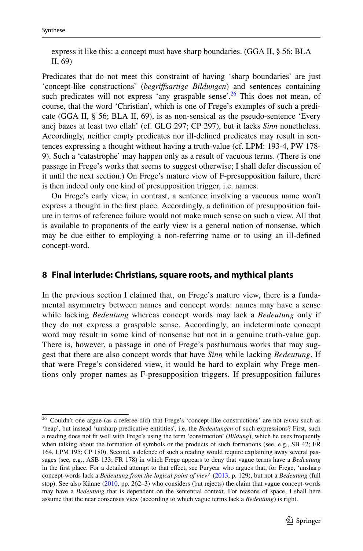express it like this: a concept must have sharp boundaries. (GGA II, § 56; BLA II, 69)

Predicates that do not meet this constraint of having 'sharp boundaries' are just 'concept-like constructions' (*begrifsartige Bildungen*) and sentences containing such predicates will not express 'any graspable sense'.<sup>26</sup> This does not mean, of course, that the word 'Christian', which is one of Frege's examples of such a predicate (GGA II, § 56; BLA II, 69), is as non-sensical as the pseudo-sentence 'Every anej bazes at least two ellah' (cf. GLG 297; CP 297), but it lacks *Sinn* nonetheless. Accordingly, neither empty predicates nor ill-defned predicates may result in sentences expressing a thought without having a truth-value (cf. LPM: 193-4, PW 178- 9). Such a 'catastrophe' may happen only as a result of vacuous terms. (There is one passage in Frege's works that seems to suggest otherwise; I shall defer discussion of it until the next section.) On Frege's mature view of F-presupposition failure, there is then indeed only one kind of presupposition trigger, i.e. names.

On Frege's early view, in contrast, a sentence involving a vacuous name won't express a thought in the frst place. Accordingly, a defnition of presupposition failure in terms of reference failure would not make much sense on such a view. All that is available to proponents of the early view is a general notion of nonsense, which may be due either to employing a non-referring name or to using an ill-defned concept-word.

#### <span id="page-14-0"></span>**8 Final interlude: Christians, square roots, and mythical plants**

In the previous section I claimed that, on Frege's mature view, there is a fundamental asymmetry between names and concept words: names may have a sense while lacking *Bedeutung* whereas concept words may lack a *Bedeutung* only if they do not express a graspable sense. Accordingly, an indeterminate concept word may result in some kind of nonsense but not in a genuine truth-value gap. There is, however, a passage in one of Frege's posthumous works that may suggest that there are also concept words that have *Sinn* while lacking *Bedeutung*. If that were Frege's considered view, it would be hard to explain why Frege mentions only proper names as F-presupposition triggers. If presupposition failures

<span id="page-14-1"></span><sup>26</sup> Couldn't one argue (as a referee did) that Frege's 'concept-like constructions' are not *terms* such as 'heap', but instead 'unsharp predicative entitities', i.e. the *Bedeutungen* of such expressions? First, such a reading does not ft well with Frege's using the term 'construction' (*Bildung*), which he uses frequently when talking about the formation of symbols or the products of such formations (see, e.g., SB 42; FR 164, LPM 195; CP 180). Second, a defence of such a reading would require explaining away several passages (see, e.g., ASB 133; FR 178) in which Frege appears to deny that vague terms have a *Bedeutung* in the first place. For a detailed attempt to that effect, see Puryear who argues that, for Frege, 'unsharp' concept-words lack a *Bedeutung from the logical point of view*' [\(2013](#page-19-7), p. 129), but not a *Bedeutung* (full stop). See also Künne [\(2010](#page-20-16), pp. 262–3) who considers (but rejects) the claim that vague concept-words may have a *Bedeutung* that is dependent on the sentential context. For reasons of space, I shall here assume that the near consensus view (according to which vague terms lack a *Bedeutung*) is right.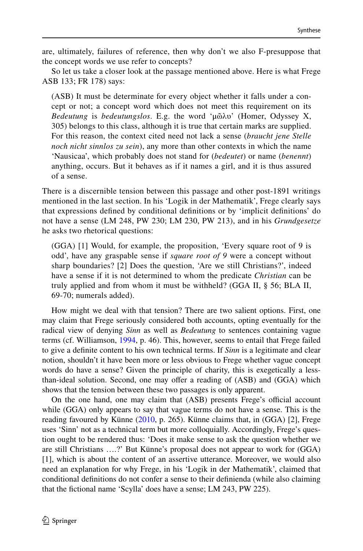are, ultimately, failures of reference, then why don't we also F-presuppose that the concept words we use refer to concepts?

So let us take a closer look at the passage mentioned above. Here is what Frege ASB 133; FR 178) says:

(ASB) It must be determinate for every object whether it falls under a concept or not; a concept word which does not meet this requirement on its *Bedeutung* is *bedeutungslos*. E.g. the word 'μῶλυ' (Homer, Odyssey X, 305) belongs to this class, although it is true that certain marks are supplied. For this reason, the context cited need not lack a sense (*braucht jene Stelle noch nicht sinnlos zu sein*), any more than other contexts in which the name 'Nausicaa', which probably does not stand for (*bedeutet*) or name (*benennt*) anything, occurs. But it behaves as if it names a girl, and it is thus assured of a sense.

There is a discernible tension between this passage and other post-1891 writings mentioned in the last section. In his 'Logik in der Mathematik', Frege clearly says that expressions defned by conditional defnitions or by 'implicit defnitions' do not have a sense (LM 248, PW 230; LM 230, PW 213), and in his *Grundgesetze* he asks two rhetorical questions:

(GGA) [1] Would, for example, the proposition, 'Every square root of 9 is odd', have any graspable sense if *square root of 9* were a concept without sharp boundaries? [2] Does the question, 'Are we still Christians?', indeed have a sense if it is not determined to whom the predicate *Christian* can be truly applied and from whom it must be withheld? (GGA II, § 56; BLA II, 69-70; numerals added).

How might we deal with that tension? There are two salient options. First, one may claim that Frege seriously considered both accounts, opting eventually for the radical view of denying *Sinn* as well as *Bedeutung* to sentences containing vague terms (cf. Williamson, [1994](#page-21-6), p. 46). This, however, seems to entail that Frege failed to give a defnite content to his own technical terms. If *Sinn* is a legitimate and clear notion, shouldn't it have been more or less obvious to Frege whether vague concept words do have a sense? Given the principle of charity, this is exegetically a lessthan-ideal solution. Second, one may offer a reading of (ASB) and (GGA) which shows that the tension between these two passages is only apparent.

On the one hand, one may claim that (ASB) presents Frege's official account while (GGA) only appears to say that vague terms do not have a sense. This is the reading favoured by Künne [\(2010](#page-20-16), p. 265). Künne claims that, in (GGA) [2], Frege uses 'Sinn' not as a technical term but more colloquially. Accordingly, Frege's question ought to be rendered thus: 'Does it make sense to ask the question whether we are still Christians ….?' But Künne's proposal does not appear to work for (GGA) [1], which is about the content of an assertive utterance. Moreover, we would also need an explanation for why Frege, in his 'Logik in der Mathematik', claimed that conditional defnitions do not confer a sense to their defnienda (while also claiming that the fctional name 'Scylla' does have a sense; LM 243, PW 225).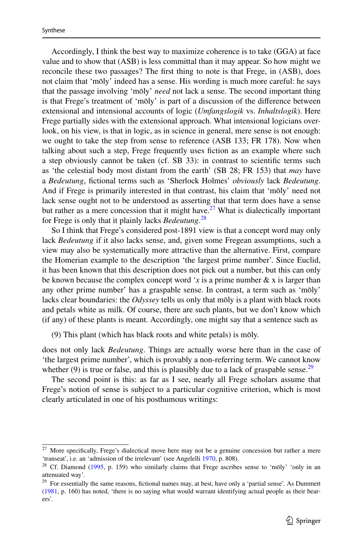Accordingly, I think the best way to maximize coherence is to take (GGA) at face value and to show that (ASB) is less committal than it may appear. So how might we reconcile these two passages? The frst thing to note is that Frege, in (ASB), does not claim that 'mōly' indeed has a sense. His wording is much more careful: he says that the passage involving 'mōly' *need* not lack a sense. The second important thing is that Frege's treatment of 'mōly' is part of a discussion of the diference between extensional and intensional accounts of logic (*Umfangslogik* vs. *Inhaltslogik*). Here Frege partially sides with the extensional approach. What intensional logicians overlook, on his view, is that in logic, as in science in general, mere sense is not enough: we ought to take the step from sense to reference (ASB 133; FR 178). Now when talking about such a step, Frege frequently uses fiction as an example where such a step obviously cannot be taken (cf. SB 33): in contrast to scientifc terms such as 'the celestial body most distant from the earth' (SB 28; FR 153) that *may* have a *Bedeutung*, fctional terms such as 'Sherlock Holmes' *obviously* lack *Bedeutung*. And if Frege is primarily interested in that contrast, his claim that 'mōly' need not lack sense ought not to be understood as asserting that that term does have a sense but rather as a mere concession that it might have.<sup>27</sup> What is dialectically important for Frege is only that it plainly lacks *Bedeutung*. [28](#page-16-1)

So I think that Frege's considered post-1891 view is that a concept word may only lack *Bedeutung* if it also lacks sense, and, given some Fregean assumptions, such a view may also be systematically more attractive than the alternative. First, compare the Homerian example to the description 'the largest prime number'. Since Euclid, it has been known that this description does not pick out a number, but this can only be known because the complex concept word '*x* is a prime number  $\& x$  is larger than any other prime number' has a graspable sense. In contrast, a term such as 'mōly' lacks clear boundaries: the *Odyssey* tells us only that mōly is a plant with black roots and petals white as milk. Of course, there are such plants, but we don't know which (if any) of these plants is meant. Accordingly, one might say that a sentence such as

(9) This plant (which has black roots and white petals) is mōly.

does not only lack *Bedeutung*. Things are actually worse here than in the case of 'the largest prime number', which is provably a non-referring term. We cannot know whether (9) is true or false, and this is plausibly due to a lack of graspable sense.<sup>[29](#page-16-2)</sup>

The second point is this: as far as I see, nearly all Frege scholars assume that Frege's notion of sense is subject to a particular cognitive criterion, which is most clearly articulated in one of his posthumous writings:

<span id="page-16-0"></span><sup>&</sup>lt;sup>27</sup> More specifically, Frege's dialectical move here may not be a genuine concession but rather a mere 'transeat', i.e. an 'admission of the irrelevant' (see Angelelli [1970,](#page-19-8) p. 808).

<span id="page-16-1"></span><sup>&</sup>lt;sup>28</sup> Cf. Diamond ([1995,](#page-19-9) p. 159) who similarly claims that Frege ascribes sense to 'mōly' 'only in an attenuated way'.

<span id="page-16-2"></span><sup>&</sup>lt;sup>29</sup> For essentially the same reasons, fictional names may, at best, have only a 'partial sense'. As Dummett ([1981,](#page-19-10) p. 160) has noted, 'there is no saying what would warrant identifying actual people as their bearers'.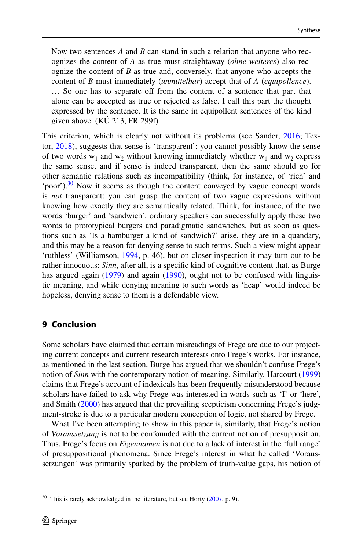Now two sentences *A* and *B* can stand in such a relation that anyone who recognizes the content of *A* as true must straightaway (*ohne weiteres*) also recognize the content of *B* as true and, conversely, that anyone who accepts the content of *B* must immediately (*unmittelbar*) accept that of *A* (*equipollence*). ... So one has to separate off from the content of a sentence that part that alone can be accepted as true or rejected as false. I call this part the thought expressed by the sentence. It is the same in equipollent sentences of the kind given above. (KÜ 213, FR 299f)

This criterion, which is clearly not without its problems (see Sander, [2016](#page-20-23); Textor, [2018](#page-21-7)), suggests that sense is 'transparent': you cannot possibly know the sense of two words  $w_1$  and  $w_2$  without knowing immediately whether  $w_1$  and  $w_2$  express the same sense, and if sense is indeed transparent, then the same should go for other semantic relations such as incompatibility (think, for instance, of 'rich' and 'poor'). $30$  Now it seems as though the content conveyed by vague concept words is *not* transparent: you can grasp the content of two vague expressions without knowing how exactly they are semantically related. Think, for instance, of the two words 'burger' and 'sandwich': ordinary speakers can successfully apply these two words to prototypical burgers and paradigmatic sandwiches, but as soon as questions such as 'Is a hamburger a kind of sandwich?' arise, they are in a quandary, and this may be a reason for denying sense to such terms. Such a view might appear 'ruthless' (Williamson, [1994,](#page-21-6) p. 46), but on closer inspection it may turn out to be rather innocuous: *Sinn*, after all, is a specific kind of cognitive content that, as Burge has argued again ([1979\)](#page-19-2) and again [\(1990](#page-19-11)), ought not to be confused with linguistic meaning, and while denying meaning to such words as 'heap' would indeed be hopeless, denying sense to them is a defendable view.

## **9 Conclusion**

Some scholars have claimed that certain misreadings of Frege are due to our projecting current concepts and current research interests onto Frege's works. For instance, as mentioned in the last section, Burge has argued that we shouldn't confuse Frege's notion of *Sinn* with the contemporary notion of meaning. Similarly, Harcourt [\(1999](#page-20-24)) claims that Frege's account of indexicals has been frequently misunderstood because scholars have failed to ask why Frege was interested in words such as 'I' or 'here', and Smith ([2000\)](#page-20-25) has argued that the prevailing scepticism concerning Frege's judgment-stroke is due to a particular modern conception of logic, not shared by Frege.

What I've been attempting to show in this paper is, similarly, that Frege's notion of *Voraussetzung* is not to be confounded with the current notion of presupposition. Thus, Frege's focus on *Eigennamen* is not due to a lack of interest in the 'full range' of presuppositional phenomena. Since Frege's interest in what he called 'Voraussetzungen' was primarily sparked by the problem of truth-value gaps, his notion of

<span id="page-17-0"></span> $30$  This is rarely acknowledged in the literature, but see Horty ([2007,](#page-20-26) p. 9).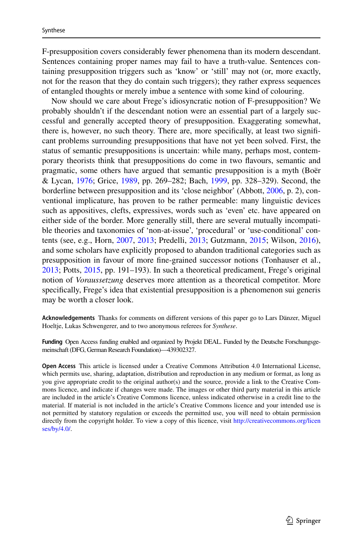F-presupposition covers considerably fewer phenomena than its modern descendant. Sentences containing proper names may fail to have a truth-value. Sentences containing presupposition triggers such as 'know' or 'still' may not (or, more exactly, not for the reason that they do contain such triggers); they rather express sequences of entangled thoughts or merely imbue a sentence with some kind of colouring.

Now should we care about Frege's idiosyncratic notion of F-presupposition? We probably shouldn't if the descendant notion were an essential part of a largely successful and generally accepted theory of presupposition. Exaggerating somewhat, there is, however, no such theory. There are, more specifcally, at least two signifcant problems surrounding presuppositions that have not yet been solved. First, the status of semantic presuppositions is uncertain: while many, perhaps most, contemporary theorists think that presuppositions do come in two favours, semantic and pragmatic, some others have argued that semantic presupposition is a myth (Boër & Lycan, [1976](#page-19-12); Grice, [1989,](#page-20-27) pp. 269–282; Bach, [1999](#page-19-5), pp. 328–329). Second, the borderline between presupposition and its 'close neighbor' (Abbott, [2006,](#page-19-0) p. 2), conventional implicature, has proven to be rather permeable: many linguistic devices such as appositives, clefts, expressives, words such as 'even' etc. have appeared on either side of the border. More generally still, there are several mutually incompatible theories and taxonomies of 'non-at-issue', 'procedural' or 'use-conditional' contents (see, e.g., Horn, [2007](#page-20-10), [2013;](#page-20-2) Predelli, [2013](#page-20-28); Gutzmann, [2015](#page-20-29); Wilson, [2016\)](#page-21-8), and some scholars have explicitly proposed to abandon traditional categories such as presupposition in favour of more fne-grained successor notions (Tonhauser et al., [2013](#page-21-9); Potts, [2015,](#page-20-6) pp. 191–193). In such a theoretical predicament, Frege's original notion of *Voraussetzung* deserves more attention as a theoretical competitor. More specifcally, Frege's idea that existential presupposition is a phenomenon sui generis may be worth a closer look.

**Acknowledgements** Thanks for comments on diferent versions of this paper go to Lars Dänzer, Miguel Hoeltje, Lukas Schwengerer, and to two anonymous referees for *Synthese*.

**Funding** Open Access funding enabled and organized by Projekt DEAL. Funded by the Deutsche Forschungsgemeinschaft (DFG, German Research Foundation)—439302327.

**Open Access** This article is licensed under a Creative Commons Attribution 4.0 International License, which permits use, sharing, adaptation, distribution and reproduction in any medium or format, as long as you give appropriate credit to the original author(s) and the source, provide a link to the Creative Commons licence, and indicate if changes were made. The images or other third party material in this article are included in the article's Creative Commons licence, unless indicated otherwise in a credit line to the material. If material is not included in the article's Creative Commons licence and your intended use is not permitted by statutory regulation or exceeds the permitted use, you will need to obtain permission directly from the copyright holder. To view a copy of this licence, visit [http://creativecommons.org/licen](http://creativecommons.org/licenses/by/4.0/) [ses/by/4.0/](http://creativecommons.org/licenses/by/4.0/).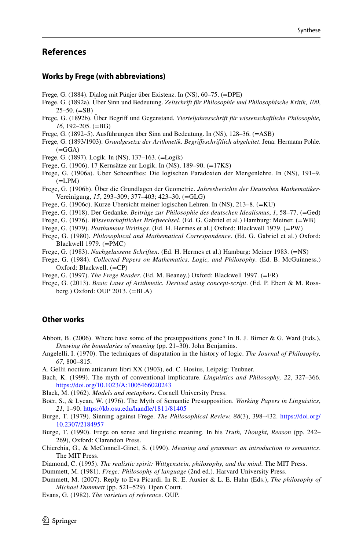#### **References**

#### **Works by Frege (with abbreviations)**

- Frege, G. (1884). Dialog mit Pünjer über Existenz. In (NS), 60–75. (=DPE)
- Frege, G. (1892a). Über Sinn und Bedeutung. *Zeitschrift für Philosophie und Philosophische Kritik, 100*,  $25-50.$  ( $=$ SB)
- Frege, G. (1892b). Über Begrif und Gegenstand. *Vierteljahresschrift für wissenschaftliche Philosophie, 16*, 192–205. (=BG)
- Frege, G. (1892–5). Ausführungen über Sinn und Bedeutung. In (NS), 128–36. (=ASB)
- Frege, G. (1893/1903). *Grundgesetze der Arithmetik. Begrifsschriftlich abgeleitet*. Jena: Hermann Pohle.  $( = GGA)$
- Frege, G. (1897). Logik. In (NS), 137–163. (=Logik)
- Frege, G. (1906). 17 Kernsätze zur Logik. In (NS), 189–90. (=17KS)
- Frege, G. (1906a). Über Schoenfies: Die logischen Paradoxien der Mengenlehre. In (NS), 191–9.  $(=\text{LPM})$
- Frege, G. (1906b). Über die Grundlagen der Geometrie. *Jahresberichte der Deutschen Mathematiker-*Vereinigung, *15*, 293–309; 377–403; 423–30. (=GLG)
- Frege, G. (1906c). Kurze Übersicht meiner logischen Lehren. In (NS), 213–8. (=KÜ)
- Frege, G. (1918). Der Gedanke. *Beiträge zur Philosophie des deutschen Idealismus*, *1*, 58–77. (=Ged)
- Frege, G. (1976). *Wissenschaftlicher Briefwechsel*. (Ed. G. Gabriel et al.) Hamburg: Meiner. (=WB)
- Frege, G. (1979). *Posthumous Writings*. (Ed. H. Hermes et al.) Oxford: Blackwell 1979. (=PW)
- Frege, G. (1980). *Philosophical and Mathematical Correspondence*. (Ed. G. Gabriel et al.) Oxford: Blackwell 1979. (=PMC)
- Frege, G. (1983). *Nachgelassene Schriften*. (Ed. H. Hermes et al.) Hamburg: Meiner 1983. (=NS)
- Frege, G. (1984). *Collected Papers on Mathematics, Logic, and Philosophy*. (Ed. B. McGuinness.) Oxford: Blackwell. (=CP)
- Frege, G. (1997). *The Frege Reader*. (Ed. M. Beaney.) Oxford: Blackwell 1997. (=FR)
- <span id="page-19-7"></span>Frege, G. (2013). *Basic Laws of Arithmetic. Derived using concept-script*. (Ed. P. Ebert & M. Rossberg.) Oxford: OUP 2013. (=BLA)

#### **Other works**

- <span id="page-19-0"></span>Abbott, B. (2006). Where have some of the presuppositions gone? In B. J. Birner & G. Ward (Eds.), *Drawing the boundaries of meaning* (pp. 21–30). John Benjamins.
- <span id="page-19-8"></span>Angelelli, I. (1970). The techniques of disputation in the history of logic. *The Journal of Philosophy, 67*, 800–815.
- A. Gellii noctium atticarum libri XX (1903), ed. C. Hosius, Leipzig: Teubner.
- <span id="page-19-5"></span>Bach, K. (1999). The myth of conventional implicature. *Linguistics and Philosophy, 22*, 327–366. <https://doi.org/10.1023/A:1005466020243>
- <span id="page-19-1"></span>Black, M. (1962). *Models and metaphors*. Cornell University Press.
- <span id="page-19-12"></span>Boër, S., & Lycan, W. (1976). The Myth of Semantic Presupposition. *Working Papers in Linguistics*, *21*, 1–90.<https://kb.osu.edu/handle/1811/81405>
- <span id="page-19-2"></span>Burge, T. (1979). Sinning against Frege. *The Philosophical Review, 88*(3), 398–432. [https://doi.org/](https://doi.org/10.2307/2184957) [10.2307/2184957](https://doi.org/10.2307/2184957)
- <span id="page-19-11"></span>Burge, T. (1990). Frege on sense and linguistic meaning. In his *Truth, Thought, Reason* (pp. 242– 269), Oxford: Clarendon Press.
- <span id="page-19-4"></span>Chierchia, G., & McConnell-Ginet, S. (1990). *Meaning and grammar: an introduction to semantics*. The MIT Press.
- <span id="page-19-9"></span>Diamond, C. (1995). *The realistic spirit: Wittgenstein, philosophy, and the mind*. The MIT Press.
- <span id="page-19-10"></span>Dummett, M. (1981). *Frege: Philosophy of language* (2nd ed.). Harvard University Press.
- <span id="page-19-6"></span>Dummett, M. (2007). Reply to Eva Picardi. In R. E. Auxier & L. E. Hahn (Eds.), *The philosophy of Michael Dummett* (pp. 521–529). Open Court.
- <span id="page-19-3"></span>Evans, G. (1982). *The varieties of reference*. OUP.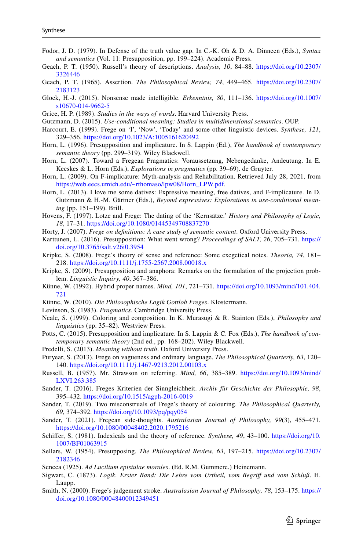- <span id="page-20-22"></span>Fodor, J. D. (1979). In Defense of the truth value gap. In C.-K. Oh & D. A. Dinneen (Eds.), *Syntax and semantics* (Vol. 11: Presupposition, pp. 199–224). Academic Press.
- <span id="page-20-21"></span>Geach, P. T. (1950). Russell's theory of descriptions. *Analysis, 10*, 84–88. [https://doi.org/10.2307/](https://doi.org/10.2307/3326446) [3326446](https://doi.org/10.2307/3326446)
- <span id="page-20-14"></span>Geach, P. T. (1965). Assertion. *The Philosophical Review, 74*, 449–465. [https://doi.org/10.2307/](https://doi.org/10.2307/2183123) [2183123](https://doi.org/10.2307/2183123)
- <span id="page-20-8"></span>Glock, H.-J. (2015). Nonsense made intelligible. *Erkenntnis, 80*, 111–136. [https://doi.org/10.1007/](https://doi.org/10.1007/s10670-014-9662-5) [s10670-014-9662-5](https://doi.org/10.1007/s10670-014-9662-5)
- <span id="page-20-27"></span>Grice, H. P. (1989). *Studies in the ways of words*. Harvard University Press.
- <span id="page-20-29"></span>Gutzmann, D. (2015). *Use-conditional meaning: Studies in multidimensional semantics*. OUP.
- <span id="page-20-24"></span>Harcourt, E. (1999). Frege on 'I', 'Now', 'Today' and some other linguistic devices. *Synthese, 121*, 329–356. <https://doi.org/10.1023/A:1005161620492>
- <span id="page-20-19"></span>Horn, L. (1996). Presupposition and implicature. In S. Lappin (Ed.), *The handbook of contemporary semantic theory* (pp. 299–319). Wiley Blackwell.
- <span id="page-20-10"></span>Horn, L. (2007). Toward a Fregean Pragmatics: Voraussetzung, Nebengedanke, Andeutung. In E. Kecskes & L. Horn (Eds.), *Explorations in pragmatics* (pp. 39–69). de Gruyter.
- <span id="page-20-1"></span>Horn, L. (2009). On F-implicature: Myth-analysis and Rehabilitation. Retrieved July 28, 2021, from [https://web.eecs.umich.edu/~rthomaso/lpw08/Horn\\_LPW.pdf](https://web.eecs.umich.edu/~rthomaso/lpw08/Horn_LPW.pdf).
- <span id="page-20-2"></span>Horn, L. (2013). I love me some datives: Expressive meaning, free datives, and F-implicature. In D. Gutzmann & H.-M. Gärtner (Eds.), *Beyond expressives: Explorations in use-conditional meaning* (pp. 151–199). Brill.
- <span id="page-20-13"></span>Hovens, F. (1997). Lotze and Frege: The dating of the 'Kernsätze.' *History and Philosophy of Logic, 18*, 17–31.<https://doi.org/10.1080/01445349708837270>
- <span id="page-20-26"></span>Horty, J. (2007). *Frege on defnitions: A case study of semantic content*. Oxford University Press.
- <span id="page-20-0"></span>Karttunen, L. (2016). Presupposition: What went wrong? *Proceedings of SALT, 26*, 705–731. [https://](https://doi.org/10.3765/salt.v26i0.3954) [doi.org/10.3765/salt.v26i0.3954](https://doi.org/10.3765/salt.v26i0.3954)
- <span id="page-20-12"></span>Kripke, S. (2008). Frege's theory of sense and reference: Some exegetical notes. *Theoria, 74*, 181– 218. <https://doi.org/10.1111/j.1755-2567.2008.00018.x>
- <span id="page-20-4"></span>Kripke, S. (2009). Presupposition and anaphora: Remarks on the formulation of the projection problem. *Linguistic Inquiry, 40*, 367–386.
- <span id="page-20-11"></span>Künne, W. (1992). Hybrid proper names. *Mind, 101*, 721–731. [https://doi.org/10.1093/mind/101.404.](https://doi.org/10.1093/mind/101.404.721) [721](https://doi.org/10.1093/mind/101.404.721)
- <span id="page-20-16"></span>Künne, W. (2010). *Die Philosophische Logik Gottlob Freges*. Klostermann.
- <span id="page-20-5"></span>Levinson, S. (1983). *Pragmatics*. Cambridge University Press.
- <span id="page-20-15"></span>Neale, S. (1999). Coloring and composition. In K. Murasugi & R. Stainton (Eds.), *Philosophy and linguistics* (pp. 35–82). Westview Press.
- <span id="page-20-6"></span>Potts, C. (2015). Presupposition and implicature. In S. Lappin & C. Fox (Eds.), *The handbook of contemporary semantic theory* (2nd ed., pp. 168–202). Wiley Blackwell.
- <span id="page-20-28"></span>Predelli, S. (2013). *Meaning without truth*. Oxford University Press.
- Puryear, S. (2013). Frege on vagueness and ordinary language. *The Philosophical Quarterly, 63*, 120– 140. <https://doi.org/10.1111/j.1467-9213.2012.00103.x>
- <span id="page-20-17"></span>Russell, B. (1957). Mr. Strawson on referring. *Mind, 66*, 385–389. [https://doi.org/10.1093/mind/](https://doi.org/10.1093/mind/LXVI.263.385) [LXVI.263.385](https://doi.org/10.1093/mind/LXVI.263.385)
- <span id="page-20-23"></span>Sander, T. (2016). Freges Kriterien der Sinngleichheit. *Archiv für Geschichte der Philosophie, 98*, 395–432. <https://doi.org/10.1515/agph-2016-0019>
- <span id="page-20-20"></span>Sander, T. (2019). Two misconstruals of Frege's theory of colouring. *The Philosophical Quarterly, 69*, 374–392.<https://doi.org/10.1093/pq/pqy054>
- <span id="page-20-3"></span>Sander, T. (2021). Fregean side-thoughts. *Australasian Journal of Philosophy, 99*(3), 455–471. <https://doi.org/10.1080/00048402.2020.1795216>
- <span id="page-20-7"></span>Schifer, S. (1981). Indexicals and the theory of reference. *Synthese, 49*, 43–100. [https://doi.org/10.](https://doi.org/10.1007/BF01063915) [1007/BF01063915](https://doi.org/10.1007/BF01063915)
- <span id="page-20-18"></span>Sellars, W. (1954). Presupposing. *The Philosophical Review, 63*, 197–215. [https://doi.org/10.2307/](https://doi.org/10.2307/2182346) [2182346](https://doi.org/10.2307/2182346)
- Seneca (1925). *Ad Lucilium epistulae morales*. (Ed. R.M. Gummere.) Heinemann.
- <span id="page-20-9"></span>Sigwart, C. (1873). *Logik. Erster Band: Die Lehre vom Urtheil, vom Begrif und vom Schluß*. H. Laupp.
- <span id="page-20-25"></span>Smith, N. (2000). Frege's judgement stroke. *Australasian Journal of Philosophy, 78*, 153–175. [https://](https://doi.org/10.1080/00048400012349451) [doi.org/10.1080/00048400012349451](https://doi.org/10.1080/00048400012349451)